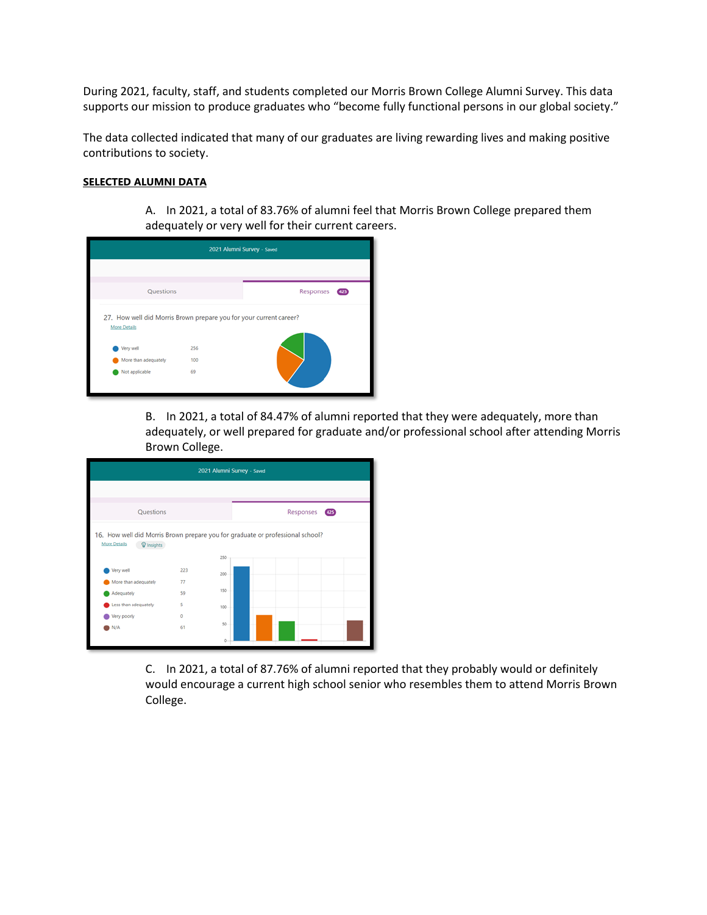During 2021, faculty, staff, and students completed our Morris Brown College Alumni Survey. This data supports our mission to produce graduates who "become fully functional persons in our global society."

The data collected indicated that many of our graduates are living rewarding lives and making positive contributions to society.

## **SELECTED ALUMNI DATA**

A. In 2021, a total of 83.76% of alumni feel that Morris Brown College prepared them adequately or very well for their current careers.

| 2021 Alumni Survey - Saved                                                                             |     |                  |  |  |  |  |
|--------------------------------------------------------------------------------------------------------|-----|------------------|--|--|--|--|
|                                                                                                        |     |                  |  |  |  |  |
| Questions                                                                                              |     | Responses<br>425 |  |  |  |  |
| 27. How well did Morris Brown prepare you for your current career?<br><b>More Details</b><br>Very well | 256 |                  |  |  |  |  |
| More than adequately                                                                                   | 100 |                  |  |  |  |  |
| Not applicable                                                                                         | 69  |                  |  |  |  |  |

B. In 2021, a total of 84.47% of alumni reported that they were adequately, more than adequately, or well prepared for graduate and/or professional school after attending Morris Brown College.

| 2021 Alumni Survey - Saved                                                                                        |     |                  |  |  |  |  |  |
|-------------------------------------------------------------------------------------------------------------------|-----|------------------|--|--|--|--|--|
|                                                                                                                   |     |                  |  |  |  |  |  |
| Questions                                                                                                         |     | Responses<br>425 |  |  |  |  |  |
| 16. How well did Morris Brown prepare you for graduate or professional school?<br><b>More Details</b><br>lnsights |     |                  |  |  |  |  |  |
| Very well                                                                                                         | 223 | 250              |  |  |  |  |  |
| More than adequately                                                                                              | 77  | 200              |  |  |  |  |  |
| Adequately                                                                                                        | 59  | 150              |  |  |  |  |  |
| Less than adequately                                                                                              | Ś   | 100              |  |  |  |  |  |
| Very poorly                                                                                                       | 0   |                  |  |  |  |  |  |
| N/A                                                                                                               | 61  | 50               |  |  |  |  |  |
|                                                                                                                   |     | ö                |  |  |  |  |  |

C. In 2021, a total of 87.76% of alumni reported that they probably would or definitely would encourage a current high school senior who resembles them to attend Morris Brown College.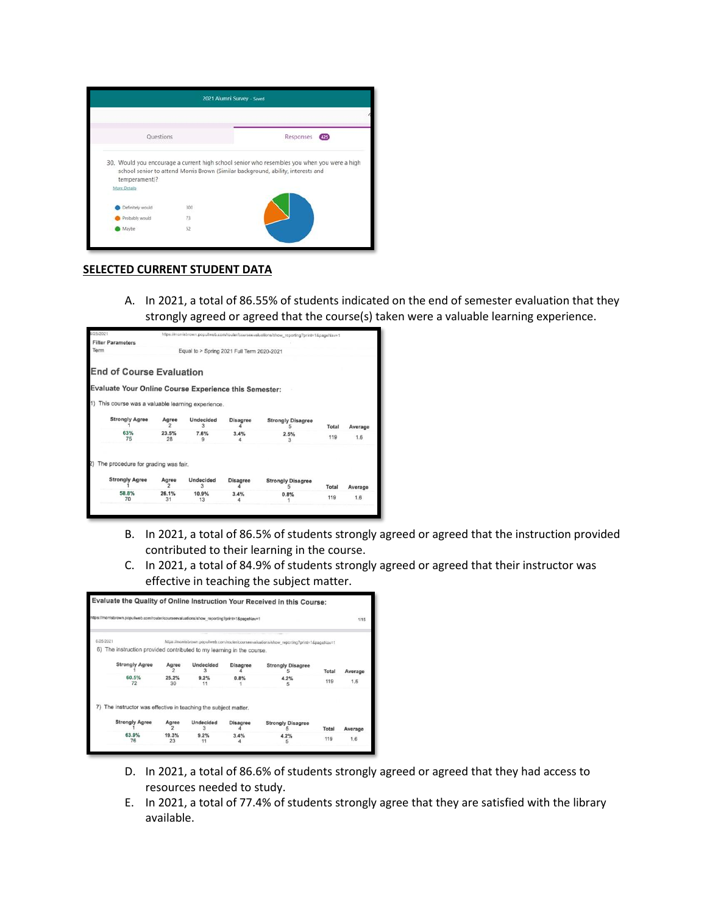

## **SELECTED CURRENT STUDENT DATA**

A. In 2021, a total of 86.55% of students indicated on the end of semester evaluation that they strongly agreed or agreed that the course(s) taken were a valuable learning experience.

| 6/25/2021 |                                                       |             |                                            |                 | https://morrisbrown.populiweb.com/router/courseevaluations/show_reporting?print=1&pageNav=1 |       |         |
|-----------|-------------------------------------------------------|-------------|--------------------------------------------|-----------------|---------------------------------------------------------------------------------------------|-------|---------|
|           | <b>Filter Parameters</b>                              |             |                                            |                 |                                                                                             |       |         |
| Term      |                                                       |             | Equal to > Spring 2021 Full Term 2020-2021 |                 |                                                                                             |       |         |
|           | <b>End of Course Evaluation</b>                       |             |                                            |                 |                                                                                             |       |         |
|           |                                                       |             |                                            |                 |                                                                                             |       |         |
|           | Evaluate Your Online Course Experience this Semester: |             |                                            |                 |                                                                                             |       |         |
|           |                                                       |             |                                            |                 |                                                                                             |       |         |
|           | This course was a valuable learning experience.       |             |                                            |                 |                                                                                             |       |         |
|           | <b>Strongly Agree</b>                                 | Agree       | <b>Undecided</b><br>з                      | <b>Disagree</b> | <b>Strongly Disagree</b>                                                                    | Total | Average |
|           | 63%<br>75                                             | 23.5%<br>28 | 7.6%<br>a                                  | 3.4%            | 2.5%<br>3                                                                                   | 119   | 1.6     |
| 2)        | The procedure for grading was fair.                   |             |                                            |                 |                                                                                             |       |         |
|           |                                                       |             |                                            |                 |                                                                                             |       |         |
|           | <b>Strongly Agree</b>                                 | Agree       | <b>Undecided</b><br>з                      | <b>Disagree</b> | <b>Strongly Disagree</b>                                                                    | Total | Average |
|           | 58.8%<br>70                                           | 26.1%<br>31 | 10.9%<br>13                                | 3.4%            | 0.8%                                                                                        | 119   | 1.6     |
|           |                                                       |             |                                            |                 |                                                                                             |       |         |

- B. In 2021, a total of 86.5% of students strongly agreed or agreed that the instruction provided contributed to their learning in the course.
- C. In 2021, a total of 84.9% of students strongly agreed or agreed that their instructor was effective in teaching the subject matter.

|    | https://morrisbrown.populiweb.com/router/courseevaluations/show_reporting?print=1&pageNav=1 |             |                       |                 |                                                                                             |              |         |  |
|----|---------------------------------------------------------------------------------------------|-------------|-----------------------|-----------------|---------------------------------------------------------------------------------------------|--------------|---------|--|
|    |                                                                                             |             |                       |                 |                                                                                             |              | 1/15    |  |
|    | 6/25/2021                                                                                   |             |                       |                 | https://morrisbrown.populiweb.com/router/courseevaluations/show_reporting?print=1&pageNav=1 |              |         |  |
| 6) | The instruction provided contributed to my learning in the course.                          |             |                       |                 |                                                                                             |              |         |  |
|    | <b>Strongly Agree</b>                                                                       | Agree       | <b>Undecided</b>      | <b>Disagree</b> | <b>Strongly Disagree</b>                                                                    | <b>Total</b> | Average |  |
|    | 60.5%<br>72                                                                                 | 25.2%<br>30 | 9.2%<br>11            | 0.8%            | 4.2%<br>5                                                                                   | 119          | 1.6     |  |
|    | The instructor was effective in teaching the subject matter.                                |             |                       |                 |                                                                                             |              |         |  |
|    | <b>Strongly Agree</b>                                                                       | Agree<br>2  | <b>Undecided</b><br>я | <b>Disagree</b> | <b>Strongly Disagree</b>                                                                    | Total        | Average |  |
|    | 63.9%<br>76                                                                                 | 19.3%<br>23 | 9.2%<br>11            | 3.4%            | 4.2%<br>5                                                                                   | 119          | 1.6     |  |

- D. In 2021, a total of 86.6% of students strongly agreed or agreed that they had access to resources needed to study.
- E. In 2021, a total of 77.4% of students strongly agree that they are satisfied with the library available.